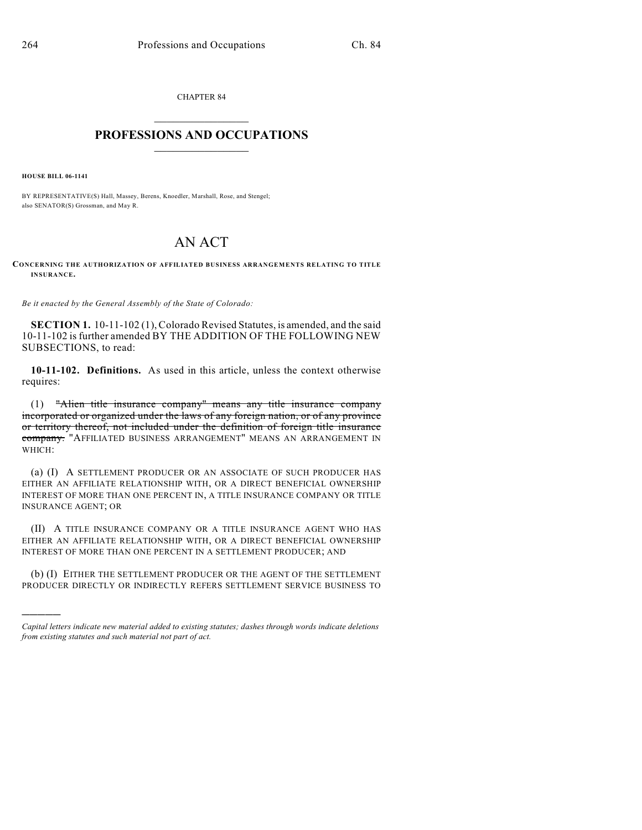CHAPTER 84  $\overline{\phantom{a}}$  . The set of the set of the set of the set of the set of the set of the set of the set of the set of the set of the set of the set of the set of the set of the set of the set of the set of the set of the set o

## **PROFESSIONS AND OCCUPATIONS**  $\frac{1}{2}$  ,  $\frac{1}{2}$  ,  $\frac{1}{2}$  ,  $\frac{1}{2}$  ,  $\frac{1}{2}$  ,  $\frac{1}{2}$

**HOUSE BILL 06-1141**

)))))

BY REPRESENTATIVE(S) Hall, Massey, Berens, Knoedler, Marshall, Rose, and Stengel; also SENATOR(S) Grossman, and May R.

## AN ACT

**CONCERNING THE AUTHORIZATION OF AFFILIATED BUSINESS ARRANGEMENTS RELATING TO TITLE INSURANCE.**

*Be it enacted by the General Assembly of the State of Colorado:*

**SECTION 1.** 10-11-102 (1), Colorado Revised Statutes, is amended, and the said 10-11-102 is further amended BY THE ADDITION OF THE FOLLOWING NEW SUBSECTIONS, to read:

**10-11-102. Definitions.** As used in this article, unless the context otherwise requires:

(1) "Alien title insurance company" means any title insurance company incorporated or organized under the laws of any foreign nation, or of any province or territory thereof, not included under the definition of foreign title insurance company. "AFFILIATED BUSINESS ARRANGEMENT" MEANS AN ARRANGEMENT IN WHICH:

(a) (I) A SETTLEMENT PRODUCER OR AN ASSOCIATE OF SUCH PRODUCER HAS EITHER AN AFFILIATE RELATIONSHIP WITH, OR A DIRECT BENEFICIAL OWNERSHIP INTEREST OF MORE THAN ONE PERCENT IN, A TITLE INSURANCE COMPANY OR TITLE INSURANCE AGENT; OR

(II) A TITLE INSURANCE COMPANY OR A TITLE INSURANCE AGENT WHO HAS EITHER AN AFFILIATE RELATIONSHIP WITH, OR A DIRECT BENEFICIAL OWNERSHIP INTEREST OF MORE THAN ONE PERCENT IN A SETTLEMENT PRODUCER; AND

(b) (I) EITHER THE SETTLEMENT PRODUCER OR THE AGENT OF THE SETTLEMENT PRODUCER DIRECTLY OR INDIRECTLY REFERS SETTLEMENT SERVICE BUSINESS TO

*Capital letters indicate new material added to existing statutes; dashes through words indicate deletions from existing statutes and such material not part of act.*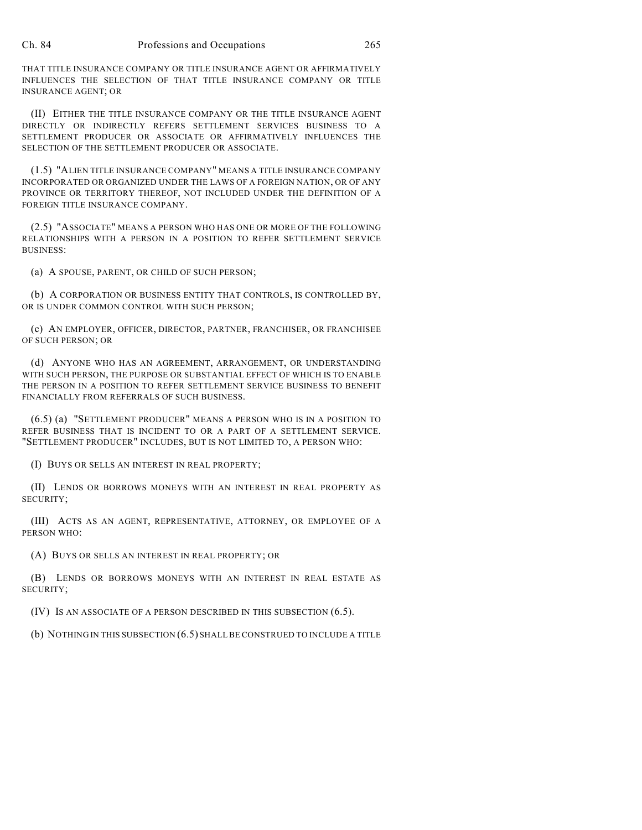THAT TITLE INSURANCE COMPANY OR TITLE INSURANCE AGENT OR AFFIRMATIVELY INFLUENCES THE SELECTION OF THAT TITLE INSURANCE COMPANY OR TITLE INSURANCE AGENT; OR

(II) EITHER THE TITLE INSURANCE COMPANY OR THE TITLE INSURANCE AGENT DIRECTLY OR INDIRECTLY REFERS SETTLEMENT SERVICES BUSINESS TO A SETTLEMENT PRODUCER OR ASSOCIATE OR AFFIRMATIVELY INFLUENCES THE SELECTION OF THE SETTLEMENT PRODUCER OR ASSOCIATE.

(1.5) "ALIEN TITLE INSURANCE COMPANY" MEANS A TITLE INSURANCE COMPANY INCORPORATED OR ORGANIZED UNDER THE LAWS OF A FOREIGN NATION, OR OF ANY PROVINCE OR TERRITORY THEREOF, NOT INCLUDED UNDER THE DEFINITION OF A FOREIGN TITLE INSURANCE COMPANY.

(2.5) "ASSOCIATE" MEANS A PERSON WHO HAS ONE OR MORE OF THE FOLLOWING RELATIONSHIPS WITH A PERSON IN A POSITION TO REFER SETTLEMENT SERVICE BUSINESS:

(a) A SPOUSE, PARENT, OR CHILD OF SUCH PERSON;

(b) A CORPORATION OR BUSINESS ENTITY THAT CONTROLS, IS CONTROLLED BY, OR IS UNDER COMMON CONTROL WITH SUCH PERSON;

(c) AN EMPLOYER, OFFICER, DIRECTOR, PARTNER, FRANCHISER, OR FRANCHISEE OF SUCH PERSON; OR

(d) ANYONE WHO HAS AN AGREEMENT, ARRANGEMENT, OR UNDERSTANDING WITH SUCH PERSON, THE PURPOSE OR SUBSTANTIAL EFFECT OF WHICH IS TO ENABLE THE PERSON IN A POSITION TO REFER SETTLEMENT SERVICE BUSINESS TO BENEFIT FINANCIALLY FROM REFERRALS OF SUCH BUSINESS.

(6.5) (a) "SETTLEMENT PRODUCER" MEANS A PERSON WHO IS IN A POSITION TO REFER BUSINESS THAT IS INCIDENT TO OR A PART OF A SETTLEMENT SERVICE. "SETTLEMENT PRODUCER" INCLUDES, BUT IS NOT LIMITED TO, A PERSON WHO:

(I) BUYS OR SELLS AN INTEREST IN REAL PROPERTY;

(II) LENDS OR BORROWS MONEYS WITH AN INTEREST IN REAL PROPERTY AS SECURITY;

(III) ACTS AS AN AGENT, REPRESENTATIVE, ATTORNEY, OR EMPLOYEE OF A PERSON WHO:

(A) BUYS OR SELLS AN INTEREST IN REAL PROPERTY; OR

(B) LENDS OR BORROWS MONEYS WITH AN INTEREST IN REAL ESTATE AS SECURITY;

(IV) IS AN ASSOCIATE OF A PERSON DESCRIBED IN THIS SUBSECTION (6.5).

(b) NOTHING IN THIS SUBSECTION (6.5) SHALL BE CONSTRUED TO INCLUDE A TITLE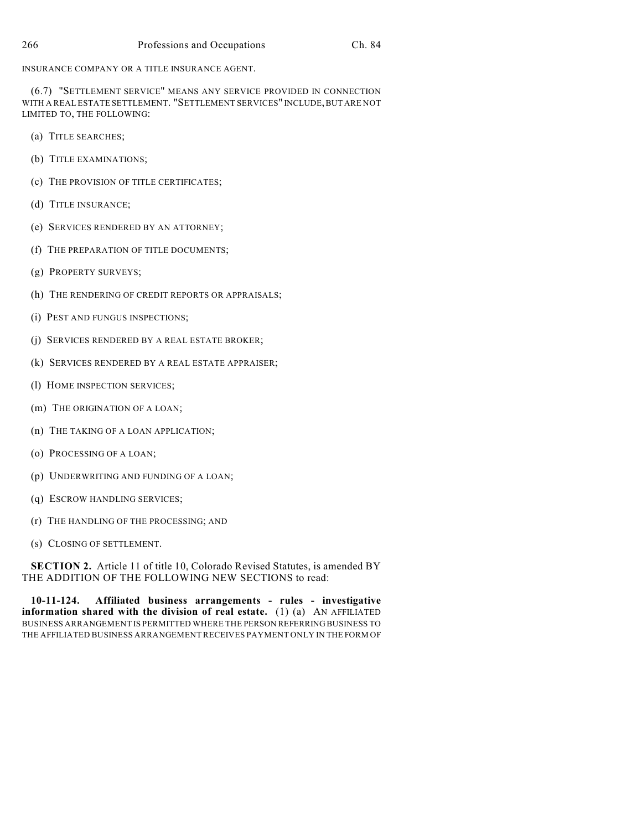INSURANCE COMPANY OR A TITLE INSURANCE AGENT.

(6.7) "SETTLEMENT SERVICE" MEANS ANY SERVICE PROVIDED IN CONNECTION WITH A REAL ESTATE SETTLEMENT. "SETTLEMENT SERVICES" INCLUDE, BUT ARE NOT LIMITED TO, THE FOLLOWING:

- (a) TITLE SEARCHES;
- (b) TITLE EXAMINATIONS;
- (c) THE PROVISION OF TITLE CERTIFICATES;
- (d) TITLE INSURANCE;
- (e) SERVICES RENDERED BY AN ATTORNEY;
- (f) THE PREPARATION OF TITLE DOCUMENTS;
- (g) PROPERTY SURVEYS;
- (h) THE RENDERING OF CREDIT REPORTS OR APPRAISALS;
- (i) PEST AND FUNGUS INSPECTIONS;
- (j) SERVICES RENDERED BY A REAL ESTATE BROKER;
- (k) SERVICES RENDERED BY A REAL ESTATE APPRAISER;
- (l) HOME INSPECTION SERVICES;
- (m) THE ORIGINATION OF A LOAN;
- (n) THE TAKING OF A LOAN APPLICATION;
- (o) PROCESSING OF A LOAN;
- (p) UNDERWRITING AND FUNDING OF A LOAN;
- (q) ESCROW HANDLING SERVICES;
- (r) THE HANDLING OF THE PROCESSING; AND
- (s) CLOSING OF SETTLEMENT.

**SECTION 2.** Article 11 of title 10, Colorado Revised Statutes, is amended BY THE ADDITION OF THE FOLLOWING NEW SECTIONS to read:

**10-11-124. Affiliated business arrangements - rules - investigative information shared with the division of real estate.** (1) (a) AN AFFILIATED BUSINESS ARRANGEMENT IS PERMITTED WHERE THE PERSON REFERRING BUSINESS TO THE AFFILIATED BUSINESS ARRANGEMENT RECEIVES PAYMENT ONLY IN THE FORM OF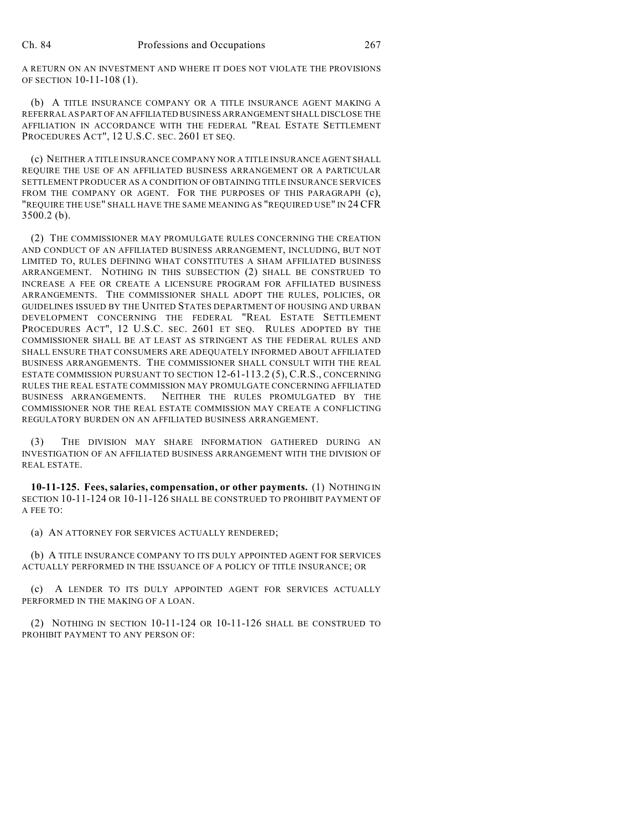A RETURN ON AN INVESTMENT AND WHERE IT DOES NOT VIOLATE THE PROVISIONS OF SECTION 10-11-108 (1).

(b) A TITLE INSURANCE COMPANY OR A TITLE INSURANCE AGENT MAKING A REFERRAL AS PART OF AN AFFILIATED BUSINESS ARRANGEMENT SHALL DISCLOSE THE AFFILIATION IN ACCORDANCE WITH THE FEDERAL "REAL ESTATE SETTLEMENT PROCEDURES ACT", 12 U.S.C. SEC. 2601 ET SEQ.

(c) NEITHER A TITLE INSURANCE COMPANY NOR A TITLE INSURANCE AGENT SHALL REQUIRE THE USE OF AN AFFILIATED BUSINESS ARRANGEMENT OR A PARTICULAR SETTLEMENT PRODUCER AS A CONDITION OF OBTAINING TITLE INSURANCE SERVICES FROM THE COMPANY OR AGENT. FOR THE PURPOSES OF THIS PARAGRAPH (c), "REQUIRE THE USE" SHALL HAVE THE SAME MEANING AS "REQUIRED USE" IN 24 CFR 3500.2 (b).

(2) THE COMMISSIONER MAY PROMULGATE RULES CONCERNING THE CREATION AND CONDUCT OF AN AFFILIATED BUSINESS ARRANGEMENT, INCLUDING, BUT NOT LIMITED TO, RULES DEFINING WHAT CONSTITUTES A SHAM AFFILIATED BUSINESS ARRANGEMENT. NOTHING IN THIS SUBSECTION (2) SHALL BE CONSTRUED TO INCREASE A FEE OR CREATE A LICENSURE PROGRAM FOR AFFILIATED BUSINESS ARRANGEMENTS. THE COMMISSIONER SHALL ADOPT THE RULES, POLICIES, OR GUIDELINES ISSUED BY THE UNITED STATES DEPARTMENT OF HOUSING AND URBAN DEVELOPMENT CONCERNING THE FEDERAL "REAL ESTATE SETTLEMENT PROCEDURES ACT", 12 U.S.C. SEC. 2601 ET SEQ. RULES ADOPTED BY THE COMMISSIONER SHALL BE AT LEAST AS STRINGENT AS THE FEDERAL RULES AND SHALL ENSURE THAT CONSUMERS ARE ADEQUATELY INFORMED ABOUT AFFILIATED BUSINESS ARRANGEMENTS. THE COMMISSIONER SHALL CONSULT WITH THE REAL ESTATE COMMISSION PURSUANT TO SECTION 12-61-113.2 (5), C.R.S., CONCERNING RULES THE REAL ESTATE COMMISSION MAY PROMULGATE CONCERNING AFFILIATED BUSINESS ARRANGEMENTS. NEITHER THE RULES PROMULGATED BY THE COMMISSIONER NOR THE REAL ESTATE COMMISSION MAY CREATE A CONFLICTING REGULATORY BURDEN ON AN AFFILIATED BUSINESS ARRANGEMENT.

(3) THE DIVISION MAY SHARE INFORMATION GATHERED DURING AN INVESTIGATION OF AN AFFILIATED BUSINESS ARRANGEMENT WITH THE DIVISION OF REAL ESTATE.

**10-11-125. Fees, salaries, compensation, or other payments.** (1) NOTHING IN SECTION 10-11-124 OR 10-11-126 SHALL BE CONSTRUED TO PROHIBIT PAYMENT OF A FEE TO:

(a) AN ATTORNEY FOR SERVICES ACTUALLY RENDERED;

(b) A TITLE INSURANCE COMPANY TO ITS DULY APPOINTED AGENT FOR SERVICES ACTUALLY PERFORMED IN THE ISSUANCE OF A POLICY OF TITLE INSURANCE; OR

(c) A LENDER TO ITS DULY APPOINTED AGENT FOR SERVICES ACTUALLY PERFORMED IN THE MAKING OF A LOAN.

(2) NOTHING IN SECTION 10-11-124 OR 10-11-126 SHALL BE CONSTRUED TO PROHIBIT PAYMENT TO ANY PERSON OF: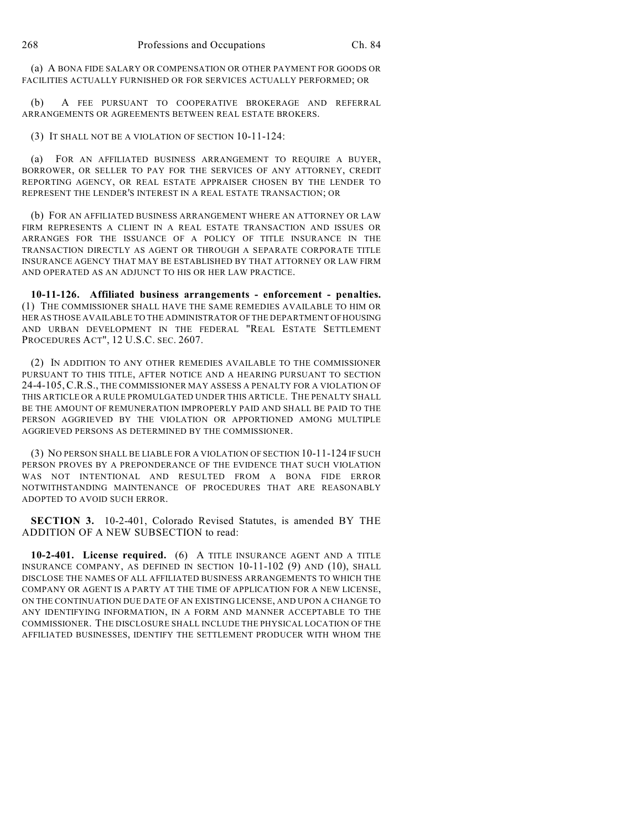(a) A BONA FIDE SALARY OR COMPENSATION OR OTHER PAYMENT FOR GOODS OR FACILITIES ACTUALLY FURNISHED OR FOR SERVICES ACTUALLY PERFORMED; OR

(b) A FEE PURSUANT TO COOPERATIVE BROKERAGE AND REFERRAL ARRANGEMENTS OR AGREEMENTS BETWEEN REAL ESTATE BROKERS.

(3) IT SHALL NOT BE A VIOLATION OF SECTION 10-11-124:

(a) FOR AN AFFILIATED BUSINESS ARRANGEMENT TO REQUIRE A BUYER, BORROWER, OR SELLER TO PAY FOR THE SERVICES OF ANY ATTORNEY, CREDIT REPORTING AGENCY, OR REAL ESTATE APPRAISER CHOSEN BY THE LENDER TO REPRESENT THE LENDER'S INTEREST IN A REAL ESTATE TRANSACTION; OR

(b) FOR AN AFFILIATED BUSINESS ARRANGEMENT WHERE AN ATTORNEY OR LAW FIRM REPRESENTS A CLIENT IN A REAL ESTATE TRANSACTION AND ISSUES OR ARRANGES FOR THE ISSUANCE OF A POLICY OF TITLE INSURANCE IN THE TRANSACTION DIRECTLY AS AGENT OR THROUGH A SEPARATE CORPORATE TITLE INSURANCE AGENCY THAT MAY BE ESTABLISHED BY THAT ATTORNEY OR LAW FIRM AND OPERATED AS AN ADJUNCT TO HIS OR HER LAW PRACTICE.

**10-11-126. Affiliated business arrangements - enforcement - penalties.** (1) THE COMMISSIONER SHALL HAVE THE SAME REMEDIES AVAILABLE TO HIM OR HER AS THOSE AVAILABLE TO THE ADMINISTRATOR OF THE DEPARTMENT OF HOUSING AND URBAN DEVELOPMENT IN THE FEDERAL "REAL ESTATE SETTLEMENT PROCEDURES ACT", 12 U.S.C. SEC. 2607.

(2) IN ADDITION TO ANY OTHER REMEDIES AVAILABLE TO THE COMMISSIONER PURSUANT TO THIS TITLE, AFTER NOTICE AND A HEARING PURSUANT TO SECTION 24-4-105, C.R.S., THE COMMISSIONER MAY ASSESS A PENALTY FOR A VIOLATION OF THIS ARTICLE OR A RULE PROMULGATED UNDER THIS ARTICLE. THE PENALTY SHALL BE THE AMOUNT OF REMUNERATION IMPROPERLY PAID AND SHALL BE PAID TO THE PERSON AGGRIEVED BY THE VIOLATION OR APPORTIONED AMONG MULTIPLE AGGRIEVED PERSONS AS DETERMINED BY THE COMMISSIONER.

(3) NO PERSON SHALL BE LIABLE FOR A VIOLATION OF SECTION 10-11-124 IF SUCH PERSON PROVES BY A PREPONDERANCE OF THE EVIDENCE THAT SUCH VIOLATION WAS NOT INTENTIONAL AND RESULTED FROM A BONA FIDE ERROR NOTWITHSTANDING MAINTENANCE OF PROCEDURES THAT ARE REASONABLY ADOPTED TO AVOID SUCH ERROR.

**SECTION 3.** 10-2-401, Colorado Revised Statutes, is amended BY THE ADDITION OF A NEW SUBSECTION to read:

**10-2-401. License required.** (6) A TITLE INSURANCE AGENT AND A TITLE INSURANCE COMPANY, AS DEFINED IN SECTION 10-11-102 (9) AND (10), SHALL DISCLOSE THE NAMES OF ALL AFFILIATED BUSINESS ARRANGEMENTS TO WHICH THE COMPANY OR AGENT IS A PARTY AT THE TIME OF APPLICATION FOR A NEW LICENSE, ON THE CONTINUATION DUE DATE OF AN EXISTING LICENSE, AND UPON A CHANGE TO ANY IDENTIFYING INFORMATION, IN A FORM AND MANNER ACCEPTABLE TO THE COMMISSIONER. THE DISCLOSURE SHALL INCLUDE THE PHYSICAL LOCATION OF THE AFFILIATED BUSINESSES, IDENTIFY THE SETTLEMENT PRODUCER WITH WHOM THE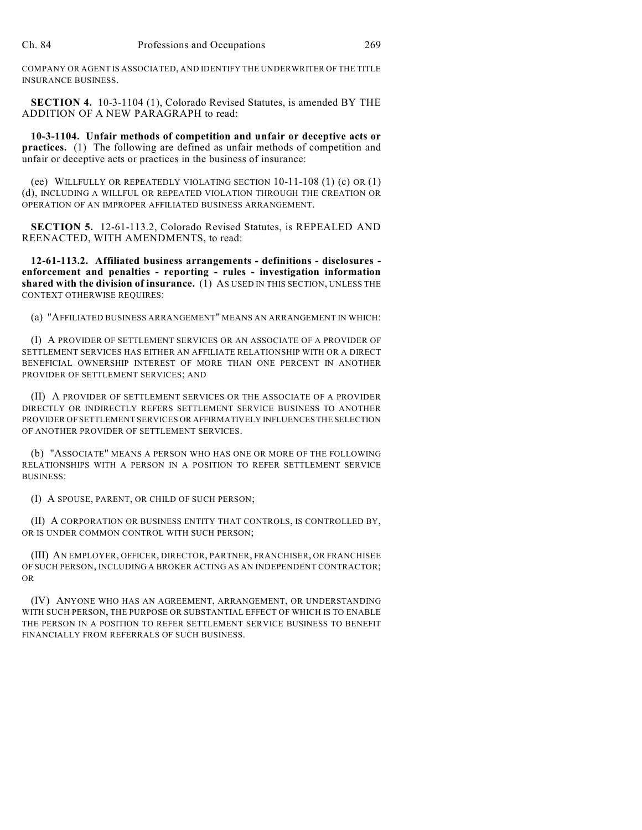COMPANY OR AGENT IS ASSOCIATED, AND IDENTIFY THE UNDERWRITER OF THE TITLE INSURANCE BUSINESS.

**SECTION 4.** 10-3-1104 (1), Colorado Revised Statutes, is amended BY THE ADDITION OF A NEW PARAGRAPH to read:

**10-3-1104. Unfair methods of competition and unfair or deceptive acts or practices.** (1) The following are defined as unfair methods of competition and unfair or deceptive acts or practices in the business of insurance:

(ee) WILLFULLY OR REPEATEDLY VIOLATING SECTION 10-11-108 (1) (c) OR (1) (d), INCLUDING A WILLFUL OR REPEATED VIOLATION THROUGH THE CREATION OR OPERATION OF AN IMPROPER AFFILIATED BUSINESS ARRANGEMENT.

**SECTION 5.** 12-61-113.2, Colorado Revised Statutes, is REPEALED AND REENACTED, WITH AMENDMENTS, to read:

**12-61-113.2. Affiliated business arrangements - definitions - disclosures enforcement and penalties - reporting - rules - investigation information** shared with the division of insurance. (1) AS USED IN THIS SECTION, UNLESS THE CONTEXT OTHERWISE REQUIRES:

(a) "AFFILIATED BUSINESS ARRANGEMENT" MEANS AN ARRANGEMENT IN WHICH:

(I) A PROVIDER OF SETTLEMENT SERVICES OR AN ASSOCIATE OF A PROVIDER OF SETTLEMENT SERVICES HAS EITHER AN AFFILIATE RELATIONSHIP WITH OR A DIRECT BENEFICIAL OWNERSHIP INTEREST OF MORE THAN ONE PERCENT IN ANOTHER PROVIDER OF SETTLEMENT SERVICES; AND

(II) A PROVIDER OF SETTLEMENT SERVICES OR THE ASSOCIATE OF A PROVIDER DIRECTLY OR INDIRECTLY REFERS SETTLEMENT SERVICE BUSINESS TO ANOTHER PROVIDER OF SETTLEMENT SERVICES OR AFFIRMATIVELY INFLUENCES THE SELECTION OF ANOTHER PROVIDER OF SETTLEMENT SERVICES.

(b) "ASSOCIATE" MEANS A PERSON WHO HAS ONE OR MORE OF THE FOLLOWING RELATIONSHIPS WITH A PERSON IN A POSITION TO REFER SETTLEMENT SERVICE BUSINESS:

(I) A SPOUSE, PARENT, OR CHILD OF SUCH PERSON;

(II) A CORPORATION OR BUSINESS ENTITY THAT CONTROLS, IS CONTROLLED BY, OR IS UNDER COMMON CONTROL WITH SUCH PERSON;

(III) AN EMPLOYER, OFFICER, DIRECTOR, PARTNER, FRANCHISER, OR FRANCHISEE OF SUCH PERSON, INCLUDING A BROKER ACTING AS AN INDEPENDENT CONTRACTOR; OR

(IV) ANYONE WHO HAS AN AGREEMENT, ARRANGEMENT, OR UNDERSTANDING WITH SUCH PERSON, THE PURPOSE OR SUBSTANTIAL EFFECT OF WHICH IS TO ENABLE THE PERSON IN A POSITION TO REFER SETTLEMENT SERVICE BUSINESS TO BENEFIT FINANCIALLY FROM REFERRALS OF SUCH BUSINESS.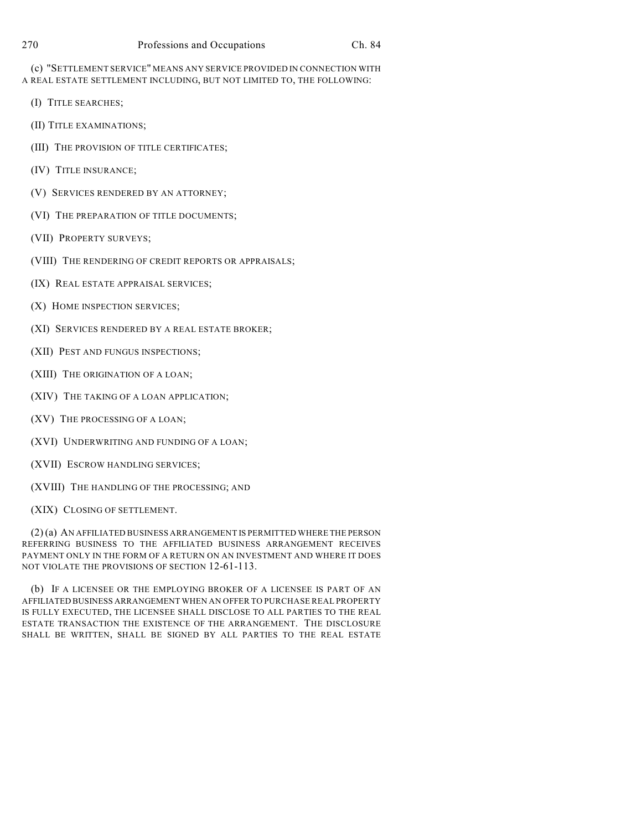(c) "SETTLEMENT SERVICE" MEANS ANY SERVICE PROVIDED IN CONNECTION WITH A REAL ESTATE SETTLEMENT INCLUDING, BUT NOT LIMITED TO, THE FOLLOWING:

- (I) TITLE SEARCHES;
- (II) TITLE EXAMINATIONS;
- (III) THE PROVISION OF TITLE CERTIFICATES;
- (IV) TITLE INSURANCE;
- (V) SERVICES RENDERED BY AN ATTORNEY;
- (VI) THE PREPARATION OF TITLE DOCUMENTS;
- (VII) PROPERTY SURVEYS;
- (VIII) THE RENDERING OF CREDIT REPORTS OR APPRAISALS;
- (IX) REAL ESTATE APPRAISAL SERVICES;
- (X) HOME INSPECTION SERVICES;
- (XI) SERVICES RENDERED BY A REAL ESTATE BROKER;
- (XII) PEST AND FUNGUS INSPECTIONS;
- (XIII) THE ORIGINATION OF A LOAN;
- (XIV) THE TAKING OF A LOAN APPLICATION;
- (XV) THE PROCESSING OF A LOAN;
- (XVI) UNDERWRITING AND FUNDING OF A LOAN;
- (XVII) ESCROW HANDLING SERVICES;
- (XVIII) THE HANDLING OF THE PROCESSING; AND
- (XIX) CLOSING OF SETTLEMENT.

(2) (a) AN AFFILIATED BUSINESS ARRANGEMENT IS PERMITTED WHERE THE PERSON REFERRING BUSINESS TO THE AFFILIATED BUSINESS ARRANGEMENT RECEIVES PAYMENT ONLY IN THE FORM OF A RETURN ON AN INVESTMENT AND WHERE IT DOES NOT VIOLATE THE PROVISIONS OF SECTION 12-61-113.

(b) IF A LICENSEE OR THE EMPLOYING BROKER OF A LICENSEE IS PART OF AN AFFILIATED BUSINESS ARRANGEMENT WHEN AN OFFER TO PURCHASE REAL PROPERTY IS FULLY EXECUTED, THE LICENSEE SHALL DISCLOSE TO ALL PARTIES TO THE REAL ESTATE TRANSACTION THE EXISTENCE OF THE ARRANGEMENT. THE DISCLOSURE SHALL BE WRITTEN, SHALL BE SIGNED BY ALL PARTIES TO THE REAL ESTATE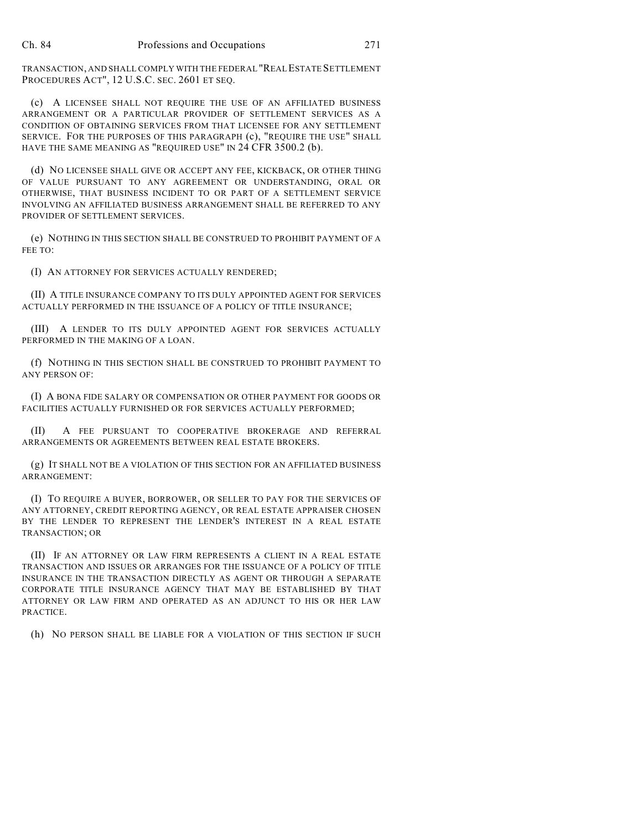TRANSACTION, AND SHALL COMPLY WITH THE FEDERAL "REAL ESTATE SETTLEMENT PROCEDURES ACT", 12 U.S.C. SEC. 2601 ET SEQ.

(c) A LICENSEE SHALL NOT REQUIRE THE USE OF AN AFFILIATED BUSINESS ARRANGEMENT OR A PARTICULAR PROVIDER OF SETTLEMENT SERVICES AS A CONDITION OF OBTAINING SERVICES FROM THAT LICENSEE FOR ANY SETTLEMENT SERVICE. FOR THE PURPOSES OF THIS PARAGRAPH (c), "REQUIRE THE USE" SHALL HAVE THE SAME MEANING AS "REQUIRED USE" IN 24 CFR 3500.2 (b).

(d) NO LICENSEE SHALL GIVE OR ACCEPT ANY FEE, KICKBACK, OR OTHER THING OF VALUE PURSUANT TO ANY AGREEMENT OR UNDERSTANDING, ORAL OR OTHERWISE, THAT BUSINESS INCIDENT TO OR PART OF A SETTLEMENT SERVICE INVOLVING AN AFFILIATED BUSINESS ARRANGEMENT SHALL BE REFERRED TO ANY PROVIDER OF SETTLEMENT SERVICES.

(e) NOTHING IN THIS SECTION SHALL BE CONSTRUED TO PROHIBIT PAYMENT OF A FEE TO:

(I) AN ATTORNEY FOR SERVICES ACTUALLY RENDERED;

(II) A TITLE INSURANCE COMPANY TO ITS DULY APPOINTED AGENT FOR SERVICES ACTUALLY PERFORMED IN THE ISSUANCE OF A POLICY OF TITLE INSURANCE;

(III) A LENDER TO ITS DULY APPOINTED AGENT FOR SERVICES ACTUALLY PERFORMED IN THE MAKING OF A LOAN.

(f) NOTHING IN THIS SECTION SHALL BE CONSTRUED TO PROHIBIT PAYMENT TO ANY PERSON OF:

(I) A BONA FIDE SALARY OR COMPENSATION OR OTHER PAYMENT FOR GOODS OR FACILITIES ACTUALLY FURNISHED OR FOR SERVICES ACTUALLY PERFORMED;

(II) A FEE PURSUANT TO COOPERATIVE BROKERAGE AND REFERRAL ARRANGEMENTS OR AGREEMENTS BETWEEN REAL ESTATE BROKERS.

(g) IT SHALL NOT BE A VIOLATION OF THIS SECTION FOR AN AFFILIATED BUSINESS ARRANGEMENT:

(I) TO REQUIRE A BUYER, BORROWER, OR SELLER TO PAY FOR THE SERVICES OF ANY ATTORNEY, CREDIT REPORTING AGENCY, OR REAL ESTATE APPRAISER CHOSEN BY THE LENDER TO REPRESENT THE LENDER'S INTEREST IN A REAL ESTATE TRANSACTION; OR

(II) IF AN ATTORNEY OR LAW FIRM REPRESENTS A CLIENT IN A REAL ESTATE TRANSACTION AND ISSUES OR ARRANGES FOR THE ISSUANCE OF A POLICY OF TITLE INSURANCE IN THE TRANSACTION DIRECTLY AS AGENT OR THROUGH A SEPARATE CORPORATE TITLE INSURANCE AGENCY THAT MAY BE ESTABLISHED BY THAT ATTORNEY OR LAW FIRM AND OPERATED AS AN ADJUNCT TO HIS OR HER LAW PRACTICE.

(h) NO PERSON SHALL BE LIABLE FOR A VIOLATION OF THIS SECTION IF SUCH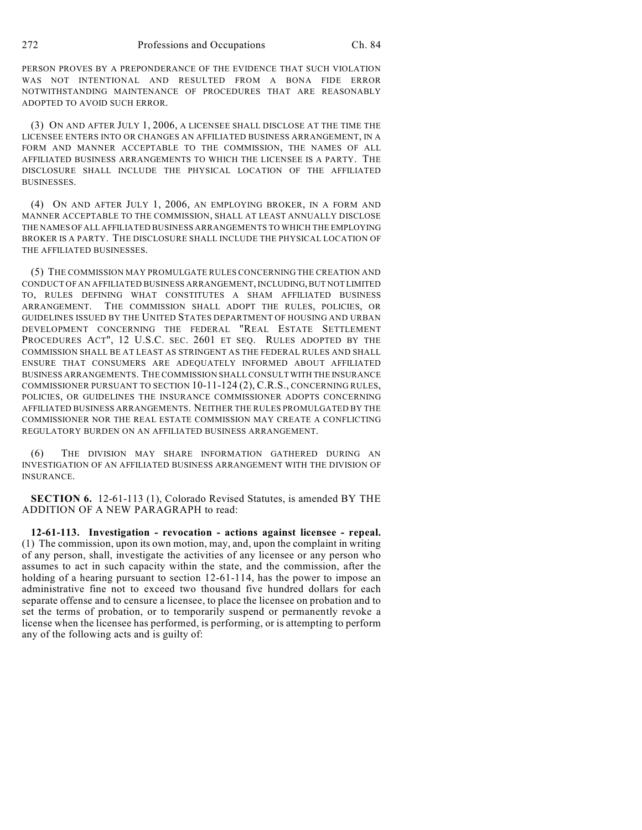PERSON PROVES BY A PREPONDERANCE OF THE EVIDENCE THAT SUCH VIOLATION WAS NOT INTENTIONAL AND RESULTED FROM A BONA FIDE ERROR NOTWITHSTANDING MAINTENANCE OF PROCEDURES THAT ARE REASONABLY ADOPTED TO AVOID SUCH ERROR.

(3) ON AND AFTER JULY 1, 2006, A LICENSEE SHALL DISCLOSE AT THE TIME THE LICENSEE ENTERS INTO OR CHANGES AN AFFILIATED BUSINESS ARRANGEMENT, IN A FORM AND MANNER ACCEPTABLE TO THE COMMISSION, THE NAMES OF ALL AFFILIATED BUSINESS ARRANGEMENTS TO WHICH THE LICENSEE IS A PARTY. THE DISCLOSURE SHALL INCLUDE THE PHYSICAL LOCATION OF THE AFFILIATED BUSINESSES.

(4) ON AND AFTER JULY 1, 2006, AN EMPLOYING BROKER, IN A FORM AND MANNER ACCEPTABLE TO THE COMMISSION, SHALL AT LEAST ANNUALLY DISCLOSE THE NAMES OF ALL AFFILIATED BUSINESS ARRANGEMENTS TO WHICH THE EMPLOYING BROKER IS A PARTY. THE DISCLOSURE SHALL INCLUDE THE PHYSICAL LOCATION OF THE AFFILIATED BUSINESSES.

(5) THE COMMISSION MAY PROMULGATE RULES CONCERNING THE CREATION AND CONDUCT OF AN AFFILIATED BUSINESS ARRANGEMENT, INCLUDING, BUT NOT LIMITED TO, RULES DEFINING WHAT CONSTITUTES A SHAM AFFILIATED BUSINESS ARRANGEMENT. THE COMMISSION SHALL ADOPT THE RULES, POLICIES, OR GUIDELINES ISSUED BY THE UNITED STATES DEPARTMENT OF HOUSING AND URBAN DEVELOPMENT CONCERNING THE FEDERAL "REAL ESTATE SETTLEMENT PROCEDURES ACT", 12 U.S.C. SEC. 2601 ET SEQ. RULES ADOPTED BY THE COMMISSION SHALL BE AT LEAST AS STRINGENT AS THE FEDERAL RULES AND SHALL ENSURE THAT CONSUMERS ARE ADEQUATELY INFORMED ABOUT AFFILIATED BUSINESS ARRANGEMENTS. THE COMMISSION SHALL CONSULT WITH THE INSURANCE COMMISSIONER PURSUANT TO SECTION 10-11-124 (2), C.R.S., CONCERNING RULES, POLICIES, OR GUIDELINES THE INSURANCE COMMISSIONER ADOPTS CONCERNING AFFILIATED BUSINESS ARRANGEMENTS. NEITHER THE RULES PROMULGATED BY THE COMMISSIONER NOR THE REAL ESTATE COMMISSION MAY CREATE A CONFLICTING REGULATORY BURDEN ON AN AFFILIATED BUSINESS ARRANGEMENT.

(6) THE DIVISION MAY SHARE INFORMATION GATHERED DURING AN INVESTIGATION OF AN AFFILIATED BUSINESS ARRANGEMENT WITH THE DIVISION OF INSURANCE.

**SECTION 6.** 12-61-113 (1), Colorado Revised Statutes, is amended BY THE ADDITION OF A NEW PARAGRAPH to read:

**12-61-113. Investigation - revocation - actions against licensee - repeal.** (1) The commission, upon its own motion, may, and, upon the complaint in writing of any person, shall, investigate the activities of any licensee or any person who assumes to act in such capacity within the state, and the commission, after the holding of a hearing pursuant to section 12-61-114, has the power to impose an administrative fine not to exceed two thousand five hundred dollars for each separate offense and to censure a licensee, to place the licensee on probation and to set the terms of probation, or to temporarily suspend or permanently revoke a license when the licensee has performed, is performing, or is attempting to perform any of the following acts and is guilty of: